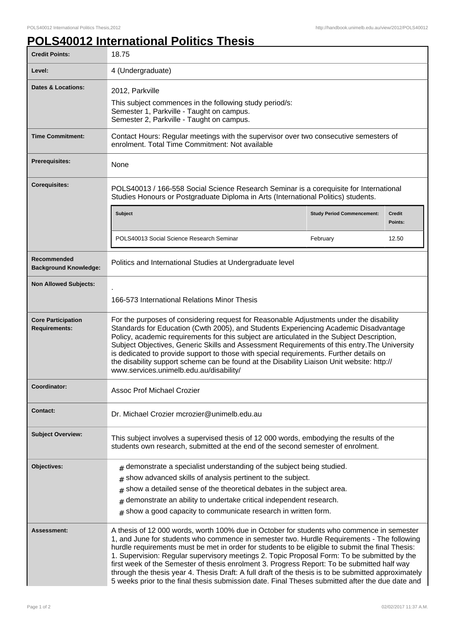## **POLS40012 International Politics Thesis**

| <b>Credit Points:</b>                             | 18.75                                                                                                                                                                                                                                                                                                                                                                                                                                                                                                                                                                                                                                                                                                 |                                   |                   |
|---------------------------------------------------|-------------------------------------------------------------------------------------------------------------------------------------------------------------------------------------------------------------------------------------------------------------------------------------------------------------------------------------------------------------------------------------------------------------------------------------------------------------------------------------------------------------------------------------------------------------------------------------------------------------------------------------------------------------------------------------------------------|-----------------------------------|-------------------|
| Level:                                            | 4 (Undergraduate)                                                                                                                                                                                                                                                                                                                                                                                                                                                                                                                                                                                                                                                                                     |                                   |                   |
| <b>Dates &amp; Locations:</b>                     | 2012, Parkville<br>This subject commences in the following study period/s:<br>Semester 1, Parkville - Taught on campus.<br>Semester 2, Parkville - Taught on campus.                                                                                                                                                                                                                                                                                                                                                                                                                                                                                                                                  |                                   |                   |
| <b>Time Commitment:</b>                           | Contact Hours: Regular meetings with the supervisor over two consecutive semesters of<br>enrolment. Total Time Commitment: Not available                                                                                                                                                                                                                                                                                                                                                                                                                                                                                                                                                              |                                   |                   |
| Prerequisites:                                    | None                                                                                                                                                                                                                                                                                                                                                                                                                                                                                                                                                                                                                                                                                                  |                                   |                   |
| <b>Corequisites:</b>                              | POLS40013 / 166-558 Social Science Research Seminar is a corequisite for International<br>Studies Honours or Postgraduate Diploma in Arts (International Politics) students.                                                                                                                                                                                                                                                                                                                                                                                                                                                                                                                          |                                   |                   |
|                                                   | <b>Subject</b>                                                                                                                                                                                                                                                                                                                                                                                                                                                                                                                                                                                                                                                                                        | <b>Study Period Commencement:</b> | Credit<br>Points: |
|                                                   | POLS40013 Social Science Research Seminar                                                                                                                                                                                                                                                                                                                                                                                                                                                                                                                                                                                                                                                             | February                          | 12.50             |
| Recommended<br><b>Background Knowledge:</b>       | Politics and International Studies at Undergraduate level                                                                                                                                                                                                                                                                                                                                                                                                                                                                                                                                                                                                                                             |                                   |                   |
| <b>Non Allowed Subjects:</b>                      |                                                                                                                                                                                                                                                                                                                                                                                                                                                                                                                                                                                                                                                                                                       |                                   |                   |
|                                                   | 166-573 International Relations Minor Thesis                                                                                                                                                                                                                                                                                                                                                                                                                                                                                                                                                                                                                                                          |                                   |                   |
| <b>Core Participation</b><br><b>Requirements:</b> | For the purposes of considering request for Reasonable Adjustments under the disability<br>Standards for Education (Cwth 2005), and Students Experiencing Academic Disadvantage<br>Policy, academic requirements for this subject are articulated in the Subject Description,<br>Subject Objectives, Generic Skills and Assessment Requirements of this entry. The University<br>is dedicated to provide support to those with special requirements. Further details on<br>the disability support scheme can be found at the Disability Liaison Unit website: http://<br>www.services.unimelb.edu.au/disability/                                                                                      |                                   |                   |
| Coordinator:                                      | Assoc Prof Michael Crozier                                                                                                                                                                                                                                                                                                                                                                                                                                                                                                                                                                                                                                                                            |                                   |                   |
| <b>Contact:</b>                                   | Dr. Michael Crozier mcrozier@unimelb.edu.au                                                                                                                                                                                                                                                                                                                                                                                                                                                                                                                                                                                                                                                           |                                   |                   |
| <b>Subject Overview:</b>                          | This subject involves a supervised thesis of 12 000 words, embodying the results of the<br>students own research, submitted at the end of the second semester of enrolment.                                                                                                                                                                                                                                                                                                                                                                                                                                                                                                                           |                                   |                   |
| Objectives:                                       | $#$ demonstrate a specialist understanding of the subject being studied.<br>show advanced skills of analysis pertinent to the subject.<br>#<br>show a detailed sense of the theoretical debates in the subject area.<br>#<br>demonstrate an ability to undertake critical independent research.<br>#<br>$#$ show a good capacity to communicate research in written form.                                                                                                                                                                                                                                                                                                                             |                                   |                   |
| <b>Assessment:</b>                                | A thesis of 12 000 words, worth 100% due in October for students who commence in semester<br>1, and June for students who commence in semester two. Hurdle Requirements - The following<br>hurdle requirements must be met in order for students to be eligible to submit the final Thesis:<br>1. Supervision: Regular supervisory meetings 2. Topic Proposal Form: To be submitted by the<br>first week of the Semester of thesis enrolment 3. Progress Report: To be submitted half way<br>through the thesis year 4. Thesis Draft: A full draft of the thesis is to be submitted approximately<br>5 weeks prior to the final thesis submission date. Final Theses submitted after the due date and |                                   |                   |